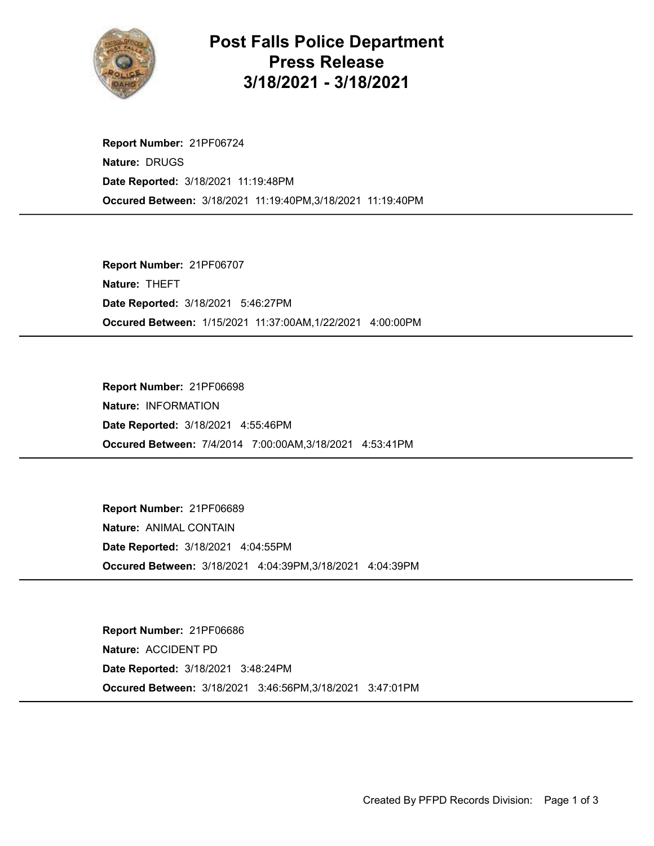

## Post Falls Police Department Press Release 3/18/2021 - 3/18/2021

Occured Between: 3/18/2021 11:19:40PM,3/18/2021 11:19:40PM Report Number: 21PF06724 Nature: DRUGS Date Reported: 3/18/2021 11:19:48PM

Occured Between: 1/15/2021 11:37:00AM,1/22/2021 4:00:00PM Report Number: 21PF06707 Nature: THEFT Date Reported: 3/18/2021 5:46:27PM

Occured Between: 7/4/2014 7:00:00AM,3/18/2021 4:53:41PM Report Number: 21PF06698 Nature: INFORMATION Date Reported: 3/18/2021 4:55:46PM

Occured Between: 3/18/2021 4:04:39PM,3/18/2021 4:04:39PM Report Number: 21PF06689 Nature: ANIMAL CONTAIN Date Reported: 3/18/2021 4:04:55PM

Occured Between: 3/18/2021 3:46:56PM,3/18/2021 3:47:01PM Report Number: 21PF06686 Nature: ACCIDENT PD Date Reported: 3/18/2021 3:48:24PM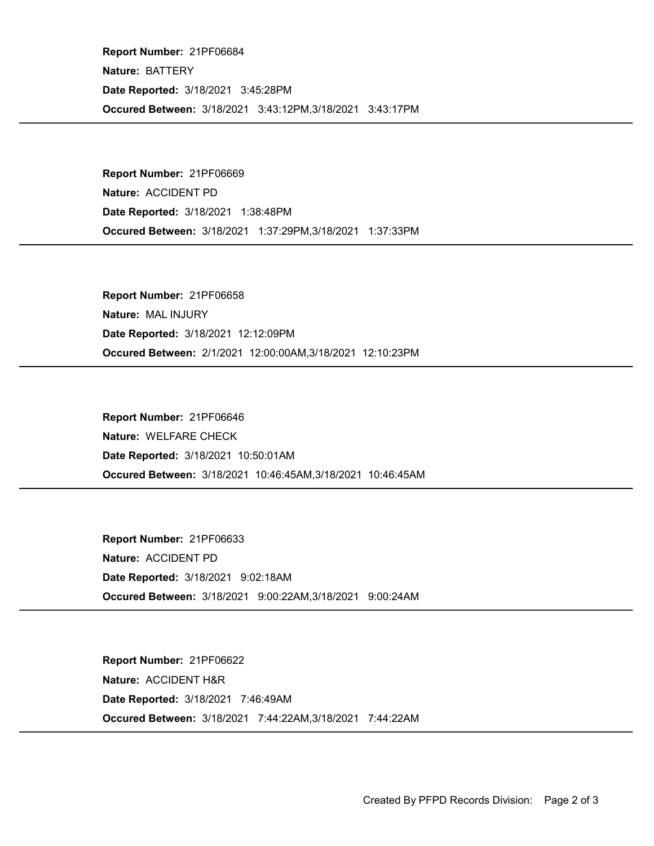Occured Between: 3/18/2021 3:43:12PM,3/18/2021 3:43:17PM Report Number: 21PF06684 Nature: BATTERY Date Reported: 3/18/2021 3:45:28PM

Occured Between: 3/18/2021 1:37:29PM,3/18/2021 1:37:33PM Report Number: 21PF06669 Nature: ACCIDENT PD Date Reported: 3/18/2021 1:38:48PM

Occured Between: 2/1/2021 12:00:00AM,3/18/2021 12:10:23PM Report Number: 21PF06658 Nature: MAL INJURY Date Reported: 3/18/2021 12:12:09PM

Occured Between: 3/18/2021 10:46:45AM,3/18/2021 10:46:45AM Report Number: 21PF06646 Nature: WELFARE CHECK Date Reported: 3/18/2021 10:50:01AM

Occured Between: 3/18/2021 9:00:22AM,3/18/2021 9:00:24AM Report Number: 21PF06633 Nature: ACCIDENT PD Date Reported: 3/18/2021 9:02:18AM

Occured Between: 3/18/2021 7:44:22AM,3/18/2021 7:44:22AM Report Number: 21PF06622 Nature: ACCIDENT H&R Date Reported: 3/18/2021 7:46:49AM